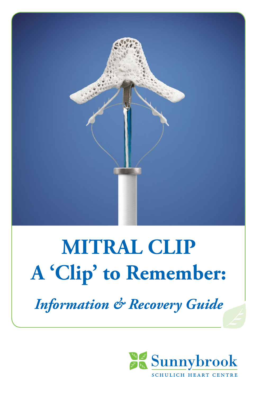

# **MITRAL CLIP A 'Clip' to Remember:**

*Information & Recovery Guide*

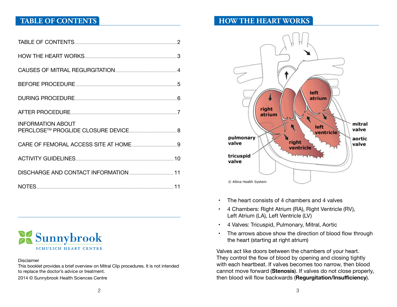# **TABLE OF CONTENTS**

| <b>INFORMATION ABOUT</b> |  |
|--------------------------|--|
|                          |  |
|                          |  |
|                          |  |
|                          |  |



#### Disclaimer

This booklet provides a brief overview on Mitral Clip procedures. It is not intended to replace the doctor's advice or treatment.

2014 © Sunnybrook Health Sciences Centre

# **HOW THE HEART WORKS**



- The heart consists of 4 chambers and 4 valves
- • 4 Chambers: Right Atrium (RA), Right Ventricle (RV), Left Atrium (LA), Left Ventricle (LV)
- • 4 Valves: Tricuspid, Pulmonary, Mitral, Aortic
- The arrows above show the direction of blood flow through the heart (starting at right atrium)

Valves act like doors between the chambers of your heart. They control the flow of blood by opening and closing tightly with each heartbeat. If valves becomes too narrow, then blood cannot move forward (**Stenosis**). If valves do not close properly, then blood will flow backwards (**Regurgitation/Insufficiency**).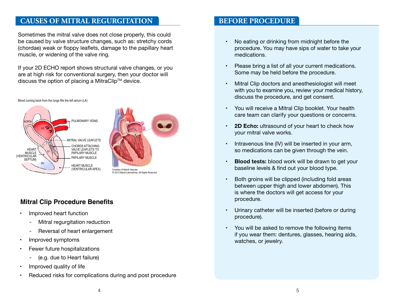# <span id="page-2-0"></span>**CAUSES OF MITRAL REGURGITATION**

Sometimes the mitral valve does not close properly, this could be caused by valve structure changes, such as: stretchy cords (chordae) weak or floppy leaflets, damage to the papillary heart muscle, or widening of the valve ring.

If your 2D ECHO report shows structural valve changes, or you are at high risk for conventional surgery, then your doctor will discuss the option of placing a MitraClip™ device.

#### ULMONARY VEINS LA LV RV MITRAL VALVE LEAFLETS CHORDS ATTACHING VALVE LEAFLETS TO PAPILARY MUSCLE PAPILARY MUSCLE HEART MUSCLE (VENTRICULAR APEX) HEART MUSCLE (VENTRICULAR SEPTUM)

# Courtesy of Abbott Vascular. © 2013 Abbott Laboratories. All Rights Reserved.

# **Mitral Clip Procedure Benefits**

- Improved heart function
	- Mitral regurgitation reduction
	- Reversal of heart enlargement
- Improved symptoms
- **Fewer future hospitalizations** 
	- (e.g. due to Heart failure)
- Improved quality of life
- Reduced risks for complications during and post procedure

# **BEFORE PROCEDURE**

- No eating or drinking from midnight before the procedure. You may have sips of water to take your medications.
- • Please bring a list of all your current medications. Some may be held before the procedure.
- Mitral Clip doctors and anesthesiologist will meet with you to examine you, review your medical history, discuss the procedure, and get consent.
- You will receive a Mitral Clip booklet. Your health care team can clarify your questions or concerns.
- **2D Echo:** ultrasound of your heart to check how your mitral valve works.
- Intravenous line (IV) will be inserted in your arm, so medications can be given through the vein.
- **Blood tests:** blood work will be drawn to get your baseline levels & find out your blood type.
- Both groins will be clipped (including fold areas between upper thigh and lower abdomen). This is where the doctors will get access for your procedure.
- • Urinary catheter will be inserted (before or during procedure).
- • You will be asked to remove the following items if you wear them: dentures, glasses, hearing aids, watches, or jewelry.

 $4 \t\t 5$ 

#### Blood coming back from the lungs fills the left atrium (LA)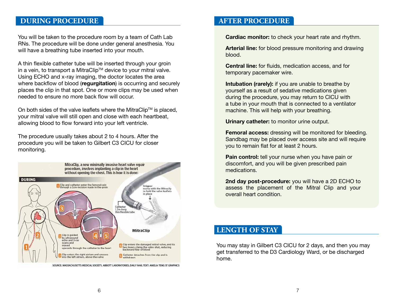# <span id="page-3-0"></span>**DURING PROCEDURE**

You will be taken to the procedure room by a team of Cath Lab RNs. The procedure will be done under general anesthesia. You will have a breathing tube inserted into your mouth.

A thin flexible catheter tube will be inserted through your groin in a vein, to transport a MitraClip™ device to your mitral valve. Using ECHO and x-ray imaging, the doctor locates the area where backflow of blood (**regurgitation**) is occurring and securely places the clip in that spot. One or more clips may be used when needed to ensure no more back flow will occur.

On both sides of the valve leaflets where the MitraClip<sup>TM</sup> is placed, your mitral valve will still open and close with each heartbeat, allowing blood to flow forward into your left ventricle.

The procedure usually takes about 2 to 4 hours. After the procedure you will be taken to Gilbert C3 CICU for closer monitoring.



SOURCE: MASSACHUSETTS MEDICAL SOCIETY, ABBOTT LABORATORIES, DAILY MAIL TEXT: AMELIA TENG ST GRAPHICS

# **AFTER PROCEDURE**

**Cardiac monitor:** to check your heart rate and rhythm.

**Arterial line:** for blood pressure monitoring and drawing blood.

**Central line:** for fluids, medication access, and for temporary pacemaker wire.

**Intubation (rarely):** if you are unable to breathe by yourself as a result of sedative medications given during the procedure, you may return to CICU with a tube in your mouth that is connected to a ventilator machine. This will help with your breathing.

**Urinary catheter:** to monitor urine output.

**Femoral access:** dressing will be monitored for bleeding. Sandbag may be placed over access site and will require you to remain flat for at least 2 hours.

**Pain control:** tell your nurse when you have pain or discomfort, and you will be given prescribed pain medications.

**2nd day post-procedure:** you will have a 2D ECHO to assess the placement of the Mitral Clip and your overall heart condition.

# **LENGTH OF STAY**

You may stay in Gilbert C3 CICU for 2 days, and then you may get transferred to the D3 Cardiology Ward, or be discharged home.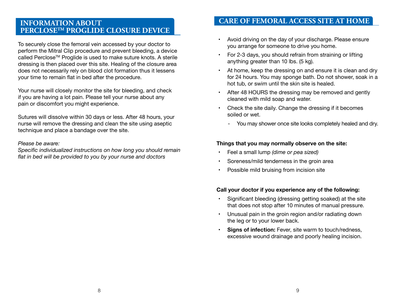# <span id="page-4-0"></span>**INFORMATION ABOUT PERCLOSETM PROGLIDE CLOSURE DEVICE**

To securely close the femoral vein accessed by your doctor to perform the Mitral Clip procedure and prevent bleeding, a device called Perclose<sup>™</sup> Proglide is used to make suture knots. A sterile dressing is then placed over this site. Healing of the closure area does not necessarily rely on blood clot formation thus it lessens your time to remain flat in bed after the procedure.

Your nurse will closely monitor the site for bleeding, and check if you are having a lot pain. Please tell your nurse about any pain or discomfort you might experience.

Sutures will dissolve within 30 days or less. After 48 hours, your nurse will remove the dressing and clean the site using aseptic technique and place a bandage over the site.

#### *Please be aware:*

*Specific individualized instructions on how long you should remain flat in bed will be provided to you by your nurse and doctors*

# **CARE OF FEMORAL ACCESS SITE AT HOME**

- Avoid driving on the day of your discharge. Please ensure you arrange for someone to drive you home.
- For 2-3 days, you should refrain from straining or lifting anything greater than 10 lbs. (5 kg).
- At home, keep the dressing on and ensure it is clean and dry for 24 hours. You may sponge bath. Do not shower, soak in a hot tub, or swim until the skin site is healed.
- After 48 HOURS the dressing may be removed and gently cleaned with mild soap and water.
- Check the site daily. Change the dressing if it becomes soiled or wet.
	- You may shower once site looks completely healed and dry.

#### **Things that you may normally observe on the site:**

- Feel a small lump *(dime or pea sized)*
- Soreness/mild tenderness in the groin area
- Possible mild bruising from incision site

#### **Call your doctor if you experience any of the following:**

- Significant bleeding (dressing getting soaked) at the site that does not stop after 10 minutes of manual pressure.
- Unusual pain in the groin region and/or radiating down the leg or to your lower back.
- **• Signs of infection:** Fever, site warm to touch/redness, excessive wound drainage and poorly healing incision.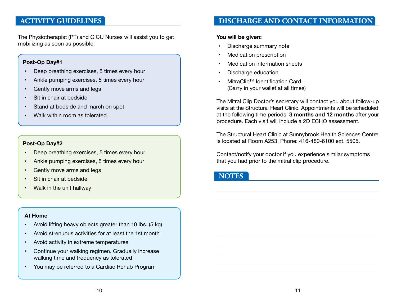# <span id="page-5-0"></span>**ACTIVITY GUIDELINES**

The Physiotherapist (PT) and CICU Nurses will assist you to get mobilizing as soon as possible.

#### **Post-Op Day#1**

- Deep breathing exercises, 5 times every hour
- Ankle pumping exercises, 5 times every hour
- Gently move arms and legs
- Sit in chair at bedside
- Stand at bedside and march on spot
- Walk within room as tolerated

#### **Post-Op Day#2**

- Deep breathing exercises, 5 times every hour
- Ankle pumping exercises, 5 times every hour
- Gently move arms and legs
- Sit in chair at bedside
- Walk in the unit hallway

#### **At Home**

- Avoid lifting heavy objects greater than 10 lbs. (5 kg)
- Avoid strenuous activities for at least the 1st month
- Avoid activity in extreme temperatures
- Continue your walking regimen. Gradually increase walking time and frequency as tolerated
- • You may be referred to a Cardiac Rehab Program

# **DISCHARGE AND CONTACT INFORMATION**

#### **You will be given:**

- Discharge summary note
- **Medication prescription**
- **Medication information sheets**
- • Discharge education
- **MitraClip™ Identification Card** (Carry in your wallet at all times)

The Mitral Clip Doctor's secretary will contact you about follow-up visits at the Structural Heart Clinic. Appointments will be scheduled at the following time periods: **3 months and 12 months** after your procedure. Each visit will include a 2D ECHO assessment.

The Structural Heart Clinic at Sunnybrook Health Sciences Centre is located at Room A253. Phone: 416-480-6100 ext. 5505.

Contact/notify your doctor if you experience similar symptoms that you had prior to the mitral clip procedure.